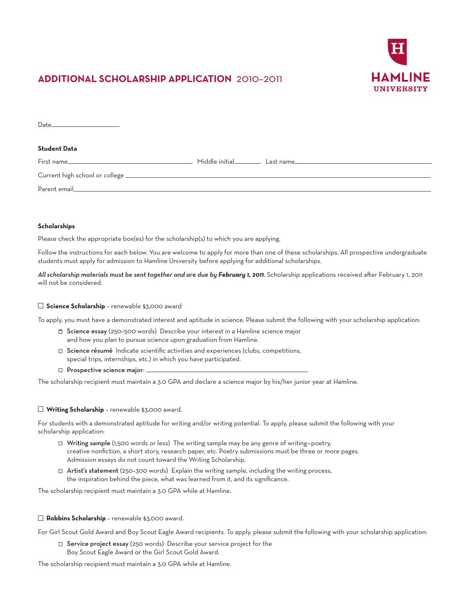

# **ADDITIONAL SCHOLARSHIP APPLICATION** 2010–2011

| Date and the contract of the contract of the contract of the contract of the contract of the contract of the contract of the contract of the contract of the contract of the contract of the contract of the contract of the c |  |
|--------------------------------------------------------------------------------------------------------------------------------------------------------------------------------------------------------------------------------|--|
| <b>Student Data</b>                                                                                                                                                                                                            |  |
| First name                                                                                                                                                                                                                     |  |
|                                                                                                                                                                                                                                |  |
|                                                                                                                                                                                                                                |  |

# **Scholarships**

Please check the appropriate box(es) for the scholarship(s) to which you are applying.

Follow the instructions for each below. You are welcome to apply for more than one of these scholarships. All prospective undergraduate students must apply for admission to Hamline University before applying for additional scholarships.

*All scholarship materials must be sent together and are due by February 1, 2011.* Scholarship applications received after February 1, 2011 will not be considered.

# **Science Scholarship** – renewable \$3,000 award

To apply, you must have a demonstrated interest and aptitude in science. Please submit the following with your scholarship application:

- $\Box$  Science essay (250-500 words) Describe your interest in a Hamline science major and how you plan to pursue science upon graduation from Hamline.
- $\Box$  Science résumé Indicate scientific activities and experiences (clubs, competitions, special trips, internships, etc.) in which you have participated.
- $\Box$  Prospective science major:  $\Box$

The scholarship recipient must maintain a 3.0 GPA and declare a science major by his/her junior year at Hamline.

# **Writing Scholarship** – renewable \$3,000 award.

For students with a demonstrated aptitude for writing and/or writing potential. To apply, please submit the following with your scholarship application:

- Writing sample (1,500 words or less) The writing sample may be any genre of writing—poetry, creative nonfiction, a short story, research paper, etc. Poetry submissions must be three or more pages. Admission essays do not count toward the Writing Scholarship.
- $\Box$  Artist's statement (250-300 words) Explain the writing sample, including the writing process, the inspiration behind the piece, what was learned from it, and its significance.

The scholarship recipient must maintain a 3.0 GPA while at Hamline.

# **Robbins Scholarship** – renewable \$3,000 award.

For Girl Scout Gold Award and Boy Scout Eagle Award recipients. To apply, please submit the following with your scholarship application:

□ Service project essay (250 words) Describe your service project for the Boy Scout Eagle Award or the Girl Scout Gold Award.

The scholarship recipient must maintain a 3.0 GPA while at Hamline.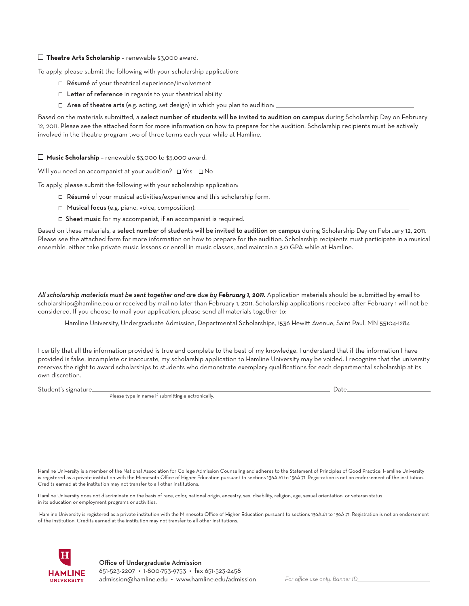# **Theatre Arts Scholarship** – renewable \$3,000 award.

To apply, please submit the following with your scholarship application:

- □ Résumé of your theatrical experience/involvement
- $\Box$  Letter of reference in regards to your theatrical ability
- $\Box$  Area of theatre arts (e.g. acting, set design) in which you plan to audition:  $\Box$

Based on the materials submitted, a select number of students will be invited to audition on campus during Scholarship Day on February 12, 2011. Please see the attached form for more information on how to prepare for the audition. Scholarship recipients must be actively involved in the theatre program two of three terms each year while at Hamline.

**Music Scholarship** – renewable \$3,000 to \$5,000 award.

Will you need an accompanist at your audition?  $\Box$  Yes  $\Box$  No

To apply, please submit the following with your scholarship application:

- □ Résumé of your musical activities/experience and this scholarship form.
- $\Box$  Musical focus (e.g. piano, voice, composition):  $\Box$
- $\Box$  Sheet music for my accompanist, if an accompanist is required.

Based on these materials, a select number of students will be invited to audition on campus during Scholarship Day on February 12, 2011. Please see the attached form for more information on how to prepare for the audition. Scholarship recipients must participate in a musical ensemble, either take private music lessons or enroll in music classes, and maintain a 3.0 GPA while at Hamline.

All scholarship materials must be sent together and are due by *February 1, 2011*. Application materials should be submitted by email to scholarships@hamline.edu or received by mail no later than February 1, 2011. Scholarship applications received after February 1 will not be considered. If you choose to mail your application, please send all materials together to:

Hamline University, Undergraduate Admission, Departmental Scholarships, 1536 Hewitt Avenue, Saint Paul, MN 55104-1284

I certify that all the information provided is true and complete to the best of my knowledge. I understand that if the information I have provided is false, incomplete or inaccurate, my scholarship application to Hamline University may be voided. I recognize that the university reserves the right to award scholarships to students who demonstrate exemplary qualifications for each departmental scholarship at its own discretion.

Student's signature Date Please type in name if submitting electronically.

Hamline University is a member of the National Association for College Admission Counseling and adheres to the Statement of Principles of Good Practice. Hamline University is registered as a private institution with the Minnesota Office of Higher Education pursuant to sections 136A.61 to 136A.71. Registration is not an endorsement of the institution. Credits earned at the institution may not transfer to all other institutions.

Hamline University does not discriminate on the basis of race, color, national origin, ancestry, sex, disability, religion, age, sexual orientation, or veteran status in its education or employment programs or activities.

 Hamline University is registered as a private institution with the Minnesota Office of Higher Education pursuant to sections 136A.61 to 136A.71. Registration is not an endorsement of the institution. Credits earned at the institution may not transfer to all other institutions.

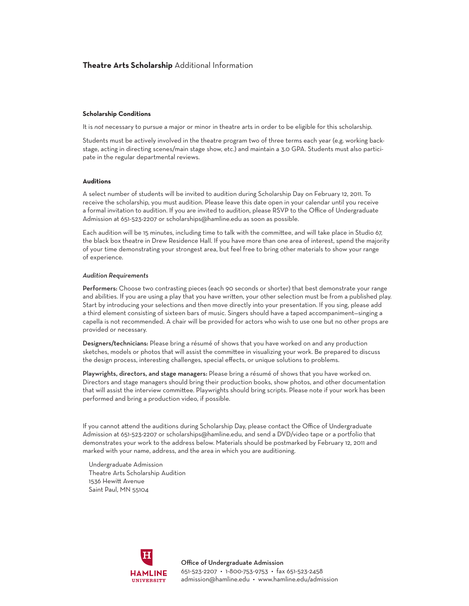# **Theatre Arts Scholarship** Additional Information

#### **Scholarship Conditions**

It is *not* necessary to pursue a major or minor in theatre arts in order to be eligible for this scholarship.

Students must be actively involved in the theatre program two of three terms each year (e.g. working backstage, acting in directing scenes/main stage show, etc.) and maintain a 3.0 GPA. Students must also participate in the regular departmental reviews.

# **Auditions**

A select number of students will be invited to audition during Scholarship Day on February 12, 2011. To receive the scholarship, you must audition. Please leave this date open in your calendar until you receive a formal invitation to audition. If you are invited to audition, please RSVP to the Office of Undergraduate Admission at 651-523-2207 or scholarships@hamline.edu as soon as possible.

Each audition will be 15 minutes, including time to talk with the committee, and will take place in Studio 67, the black box theatre in Drew Residence Hall. If you have more than one area of interest, spend the majority of your time demonstrating your strongest area, but feel free to bring other materials to show your range of experience.

# *Audition Requirements*

Performers: Choose two contrasting pieces (each 90 seconds or shorter) that best demonstrate your range and abilities. If you are using a play that you have written, your other selection must be from a published play. Start by introducing your selections and then move directly into your presentation. If you sing, please add a third element consisting of sixteen bars of music. Singers should have a taped accompaniment—singing a capella is not recommended. A chair will be provided for actors who wish to use one but no other props are provided or necessary.

Designers/technicians: Please bring a résumé of shows that you have worked on and any production sketches, models or photos that will assist the committee in visualizing your work. Be prepared to discuss the design process, interesting challenges, special effects, or unique solutions to problems.

Playwrights, directors, and stage managers: Please bring a résumé of shows that you have worked on. Directors and stage managers should bring their production books, show photos, and other documentation that will assist the interview committee. Playwrights should bring scripts. Please note if your work has been performed and bring a production video, if possible.

If you cannot attend the auditions during Scholarship Day, please contact the Office of Undergraduate Admission at 651-523-2207 or scholarships@hamline.edu, and send a DVD/video tape or a portfolio that demonstrates your work to the address below. Materials should be postmarked by February 12, 2011 and marked with your name, address, and the area in which you are auditioning.

Undergraduate Admission Theatre Arts Scholarship Audition 1536 Hewitt Avenue Saint Paul, MN 55104



Office of Undergraduate Admission 651-523-2207 • 1-800-753-9753 • fax 651-523-2458 admission@hamline.edu • www.hamline.edu/admission